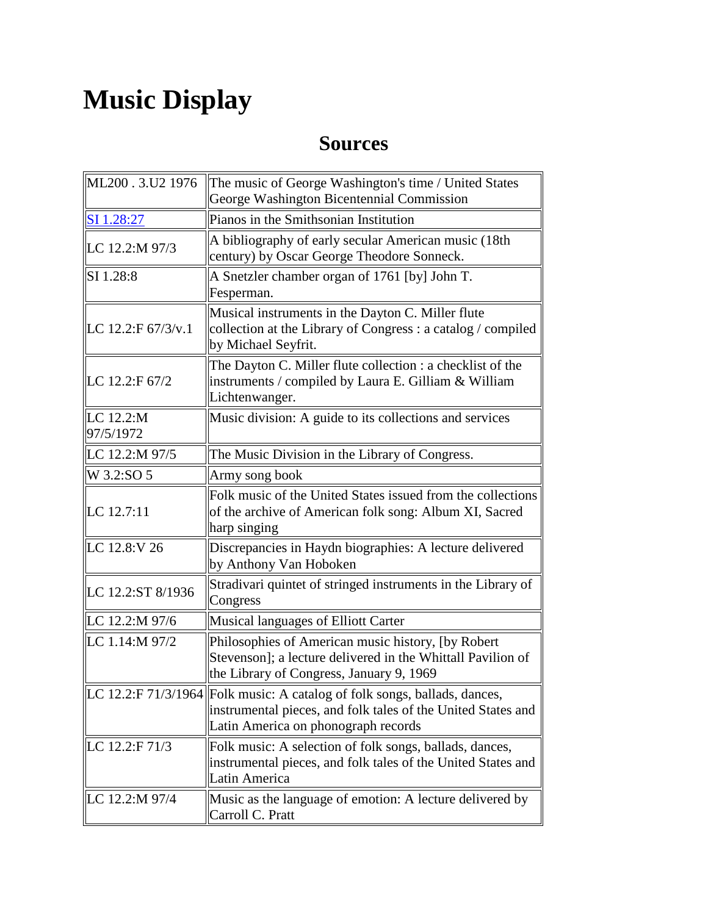## **Music Display**

## **Sources**

| ML200.3.U2 1976                    | The music of George Washington's time / United States<br>George Washington Bicentennial Commission                                                                               |
|------------------------------------|----------------------------------------------------------------------------------------------------------------------------------------------------------------------------------|
| SI 1.28:27                         | Pianos in the Smithsonian Institution                                                                                                                                            |
| LC 12.2:M 97/3                     | A bibliography of early secular American music (18th<br>century) by Oscar George Theodore Sonneck.                                                                               |
| <b>SI</b> 1.28:8                   | A Snetzler chamber organ of 1761 [by] John T.<br>Fesperman.                                                                                                                      |
| LC 12.2:F $67/3$ /v.1              | Musical instruments in the Dayton C. Miller flute<br>collection at the Library of Congress : a catalog / compiled<br>by Michael Seyfrit.                                         |
| LC 12.2:F 67/2                     | The Dayton C. Miller flute collection : a checklist of the<br>instruments / compiled by Laura E. Gilliam & William<br>Lichtenwanger.                                             |
| $\parallel$ LC 12.2:M<br>97/5/1972 | Music division: A guide to its collections and services                                                                                                                          |
| LC 12.2:M 97/5                     | The Music Division in the Library of Congress.                                                                                                                                   |
| W 3.2:SO 5                         | Army song book                                                                                                                                                                   |
| $\  LC\ 12.7:11$                   | Folk music of the United States issued from the collections<br>of the archive of American folk song: Album XI, Sacred<br>harp singing                                            |
| LC 12.8:V 26                       | Discrepancies in Haydn biographies: A lecture delivered<br>by Anthony Van Hoboken                                                                                                |
| LC 12.2:ST 8/1936                  | Stradivari quintet of stringed instruments in the Library of<br>Congress                                                                                                         |
| LC 12.2:M 97/6                     | Musical languages of Elliott Carter                                                                                                                                              |
| LC 1.14:M 97/2                     | Philosophies of American music history, [by Robert<br>Stevenson]; a lecture delivered in the Whittall Pavilion of<br>the Library of Congress, January 9, 1969                    |
|                                    | LC 12.2:F 71/3/1964 Folk music: A catalog of folk songs, ballads, dances,<br>instrumental pieces, and folk tales of the United States and<br>Latin America on phonograph records |
| LC 12.2:F 71/3                     | Folk music: A selection of folk songs, ballads, dances,<br>instrumental pieces, and folk tales of the United States and<br>Latin America                                         |
| LC 12.2:M 97/4                     | Music as the language of emotion: A lecture delivered by<br>Carroll C. Pratt                                                                                                     |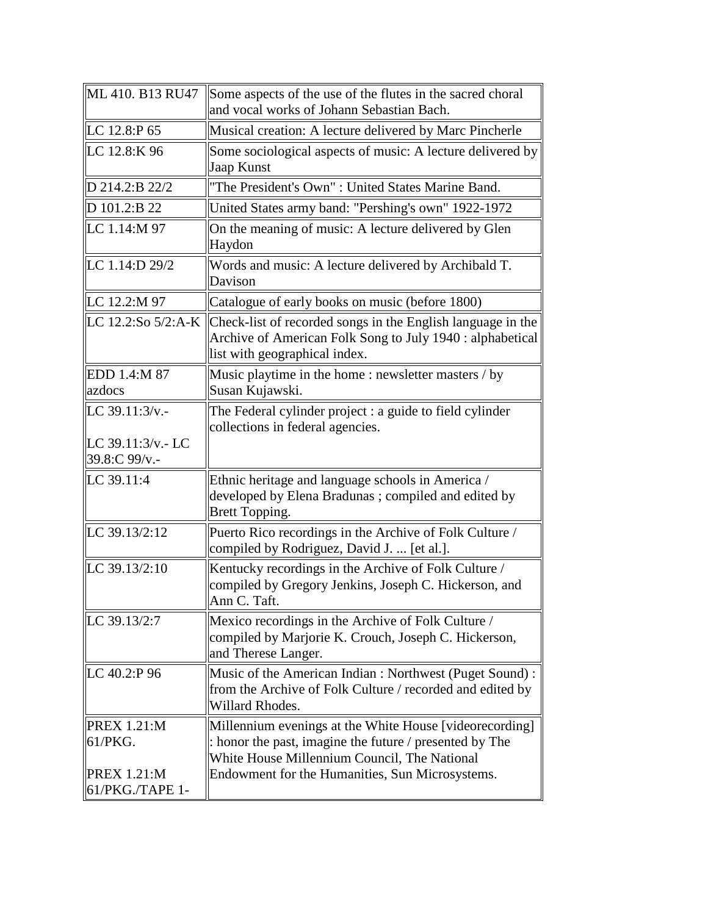| ML 410. B13 RU47                      | Some aspects of the use of the flutes in the sacred choral<br>and vocal works of Johann Sebastian Bach.                                                                           |
|---------------------------------------|-----------------------------------------------------------------------------------------------------------------------------------------------------------------------------------|
| LC 12.8:P 65                          | Musical creation: A lecture delivered by Marc Pincherle                                                                                                                           |
| LC 12.8:K 96                          | Some sociological aspects of music: A lecture delivered by<br>Jaap Kunst                                                                                                          |
| D 214.2:B 22/2                        | "The President's Own" : United States Marine Band.                                                                                                                                |
| D 101.2:B 22                          | United States army band: "Pershing's own" 1922-1972                                                                                                                               |
| LC 1.14:M 97                          | On the meaning of music: A lecture delivered by Glen<br>Haydon                                                                                                                    |
| LC 1.14:D 29/2                        | Words and music: A lecture delivered by Archibald T.<br>Davison                                                                                                                   |
| LC 12.2:M 97                          | Catalogue of early books on music (before 1800)                                                                                                                                   |
|                                       | LC 12.2:So $5/2$ :A-K   Check-list of recorded songs in the English language in the<br>Archive of American Folk Song to July 1940 : alphabetical<br>list with geographical index. |
| EDD 1.4:M 87<br>azdocs                | Music playtime in the home: newsletter masters / by<br>Susan Kujawski.                                                                                                            |
| LC $39.11:3/v$ .                      | The Federal cylinder project : a guide to field cylinder<br>collections in federal agencies.                                                                                      |
| LC $39.11:3/v - LC$<br>39.8:C 99/v.-  |                                                                                                                                                                                   |
| LC 39.11:4                            | Ethnic heritage and language schools in America /<br>developed by Elena Bradunas; compiled and edited by<br>Brett Topping.                                                        |
| LC 39.13/2:12                         | Puerto Rico recordings in the Archive of Folk Culture /<br>compiled by Rodriguez, David J.  [et al.].                                                                             |
| LC $39.13/2:10$                       | Kentucky recordings in the Archive of Folk Culture /<br>compiled by Gregory Jenkins, Joseph C. Hickerson, and<br>Ann C. Taft.                                                     |
| LC 39.13/2:7                          | Mexico recordings in the Archive of Folk Culture /<br>compiled by Marjorie K. Crouch, Joseph C. Hickerson,<br>and Therese Langer.                                                 |
| LC $40.2$ :P 96                       | Music of the American Indian : Northwest (Puget Sound) :<br>from the Archive of Folk Culture / recorded and edited by<br>Willard Rhodes.                                          |
| <b>PREX 1.21:M</b><br>61/PKG.         | Millennium evenings at the White House [videorecording]<br>: honor the past, imagine the future / presented by The<br>White House Millennium Council, The National                |
| <b>PREX 1.21:M</b><br>61/PKG./TAPE 1- | Endowment for the Humanities, Sun Microsystems.                                                                                                                                   |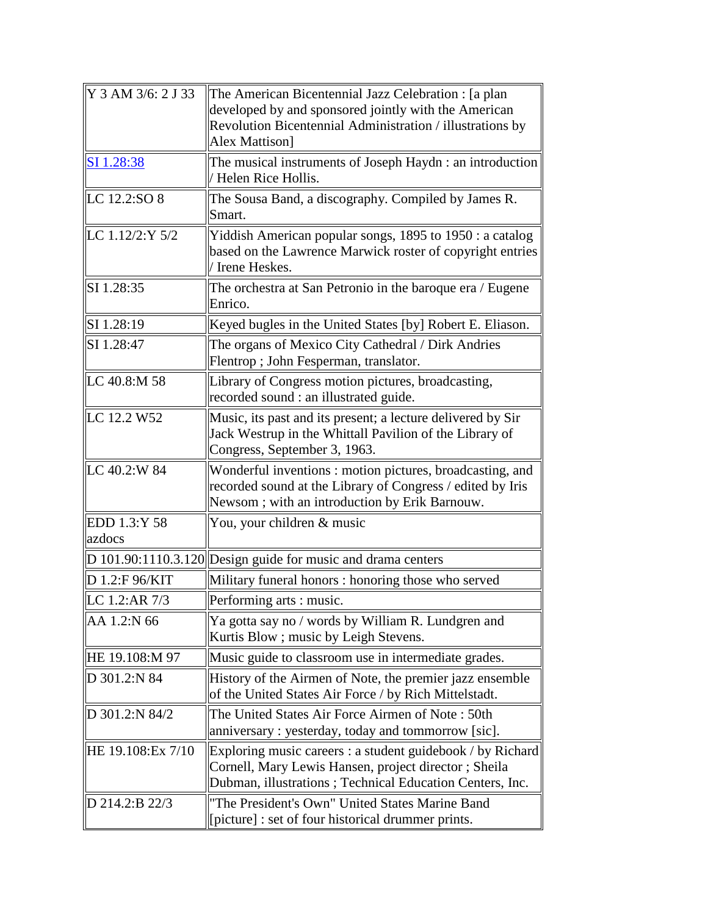| Y 3 AM 3/6: 2 J 33     | The American Bicentennial Jazz Celebration : [a plan<br>developed by and sponsored jointly with the American<br>Revolution Bicentennial Administration / illustrations by<br>Alex Mattison] |
|------------------------|---------------------------------------------------------------------------------------------------------------------------------------------------------------------------------------------|
| SI 1.28:38             | The musical instruments of Joseph Haydn: an introduction<br>Helen Rice Hollis.                                                                                                              |
| LC 12.2:SO 8           | The Sousa Band, a discography. Compiled by James R.<br>Smart.                                                                                                                               |
| LC $1.12/2:Y$ 5/2      | Yiddish American popular songs, 1895 to 1950 : a catalog<br>based on the Lawrence Marwick roster of copyright entries<br>Irene Heskes.                                                      |
| SI 1.28:35             | The orchestra at San Petronio in the baroque era / Eugene<br>Enrico.                                                                                                                        |
| SI 1.28:19             | Keyed bugles in the United States [by] Robert E. Eliason.                                                                                                                                   |
| SI 1.28:47             | The organs of Mexico City Cathedral / Dirk Andries<br>Flentrop; John Fesperman, translator.                                                                                                 |
| LC 40.8:M 58           | Library of Congress motion pictures, broadcasting,<br>recorded sound : an illustrated guide.                                                                                                |
| LC 12.2 W52            | Music, its past and its present; a lecture delivered by Sir<br>Jack Westrup in the Whittall Pavilion of the Library of<br>Congress, September 3, 1963.                                      |
| LC 40.2:W 84           | Wonderful inventions: motion pictures, broadcasting, and<br>recorded sound at the Library of Congress / edited by Iris<br>Newsom; with an introduction by Erik Barnouw.                     |
| EDD 1.3:Y 58<br>azdocs | You, your children & music                                                                                                                                                                  |
|                        | $D$ 101.90:1110.3.120 Design guide for music and drama centers                                                                                                                              |
| D 1.2:F 96/KIT         | Military funeral honors: honoring those who served                                                                                                                                          |
| LC 1.2:AR 7/3          | Performing arts : music.                                                                                                                                                                    |
| AA 1.2:N 66            | Ya gotta say no / words by William R. Lundgren and<br>Kurtis Blow; music by Leigh Stevens.                                                                                                  |
| HE 19.108:M 97         | Music guide to classroom use in intermediate grades.                                                                                                                                        |
| D 301.2:N 84           | History of the Airmen of Note, the premier jazz ensemble<br>of the United States Air Force / by Rich Mittelstadt.                                                                           |
| D 301.2:N 84/2         | The United States Air Force Airmen of Note: 50th<br>anniversary: yesterday, today and tommorrow [sic].                                                                                      |
| HE 19.108: Ex 7/10     | Exploring music careers : a student guidebook / by Richard<br>Cornell, Mary Lewis Hansen, project director; Sheila<br>Dubman, illustrations; Technical Education Centers, Inc.              |
| D 214.2:B 22/3         | "The President's Own" United States Marine Band<br>[picture] : set of four historical drummer prints.                                                                                       |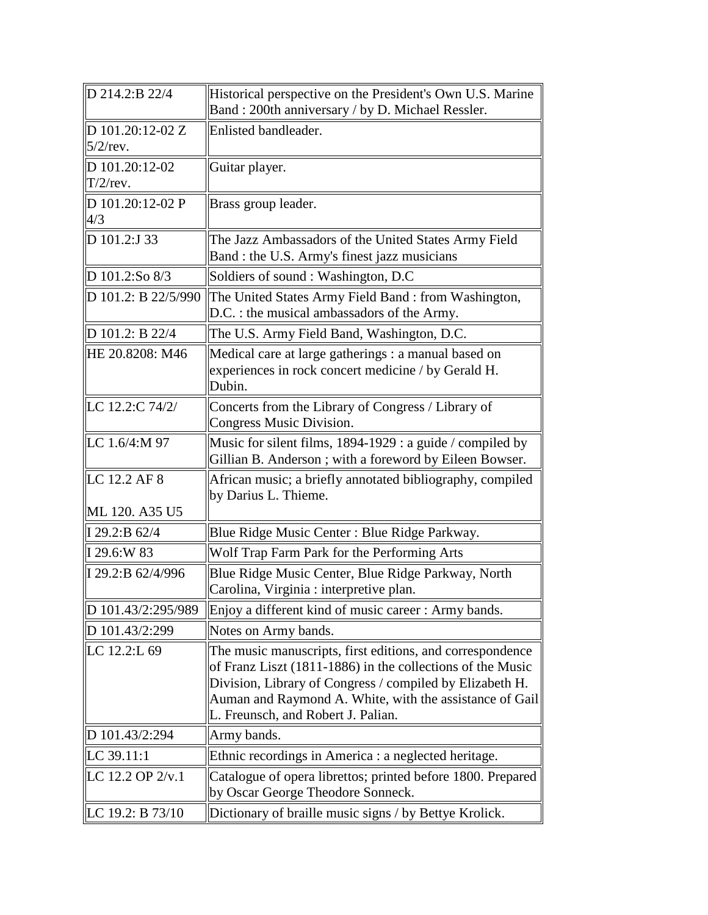| D 214.2:B 22/4                  | Historical perspective on the President's Own U.S. Marine<br>Band: 200th anniversary / by D. Michael Ressler.                                                                                                                                                                        |
|---------------------------------|--------------------------------------------------------------------------------------------------------------------------------------------------------------------------------------------------------------------------------------------------------------------------------------|
| D 101.20:12-02 Z<br>$5/2$ /rev. | Enlisted bandleader.                                                                                                                                                                                                                                                                 |
| D 101.20:12-02<br>$T/2$ /rev.   | Guitar player.                                                                                                                                                                                                                                                                       |
| D 101.20:12-02 P<br>4/3         | Brass group leader.                                                                                                                                                                                                                                                                  |
| D 101.2:J 33                    | The Jazz Ambassadors of the United States Army Field<br>Band : the U.S. Army's finest jazz musicians                                                                                                                                                                                 |
| D 101.2:So 8/3                  | Soldiers of sound : Washington, D.C                                                                                                                                                                                                                                                  |
| D 101.2: B 22/5/990             | The United States Army Field Band: from Washington,<br>D.C. : the musical ambassadors of the Army.                                                                                                                                                                                   |
| D 101.2: B 22/4                 | The U.S. Army Field Band, Washington, D.C.                                                                                                                                                                                                                                           |
| HE 20.8208: M46                 | Medical care at large gatherings : a manual based on<br>experiences in rock concert medicine / by Gerald H.<br>Dubin.                                                                                                                                                                |
| LC 12.2:C 74/2/                 | Concerts from the Library of Congress / Library of<br>Congress Music Division.                                                                                                                                                                                                       |
| LC 1.6/4:M 97                   | Music for silent films, 1894-1929 : a guide / compiled by<br>Gillian B. Anderson; with a foreword by Eileen Bowser.                                                                                                                                                                  |
| LC 12.2 AF 8<br>ML 120. A35 U5  | African music; a briefly annotated bibliography, compiled<br>by Darius L. Thieme.                                                                                                                                                                                                    |
| I 29.2:B 62/4                   | Blue Ridge Music Center : Blue Ridge Parkway.                                                                                                                                                                                                                                        |
| I 29.6:W 83                     | Wolf Trap Farm Park for the Performing Arts                                                                                                                                                                                                                                          |
| I 29.2:B 62/4/996               | Blue Ridge Music Center, Blue Ridge Parkway, North<br>Carolina, Virginia : interpretive plan.                                                                                                                                                                                        |
| D 101.43/2:295/989              | Enjoy a different kind of music career: Army bands.                                                                                                                                                                                                                                  |
| D 101.43/2:299                  | Notes on Army bands.                                                                                                                                                                                                                                                                 |
| LC 12.2:L 69                    | The music manuscripts, first editions, and correspondence<br>of Franz Liszt (1811-1886) in the collections of the Music<br>Division, Library of Congress / compiled by Elizabeth H.<br>Auman and Raymond A. White, with the assistance of Gail<br>L. Freunsch, and Robert J. Palian. |
| D 101.43/2:294                  | Army bands.                                                                                                                                                                                                                                                                          |
| $\ $ LC 39.11:1                 | Ethnic recordings in America : a neglected heritage.                                                                                                                                                                                                                                 |
| LC 12.2 OP 2/v.1                | Catalogue of opera librettos; printed before 1800. Prepared<br>by Oscar George Theodore Sonneck.                                                                                                                                                                                     |
| LC 19.2: B 73/10                | Dictionary of braille music signs / by Bettye Krolick.                                                                                                                                                                                                                               |